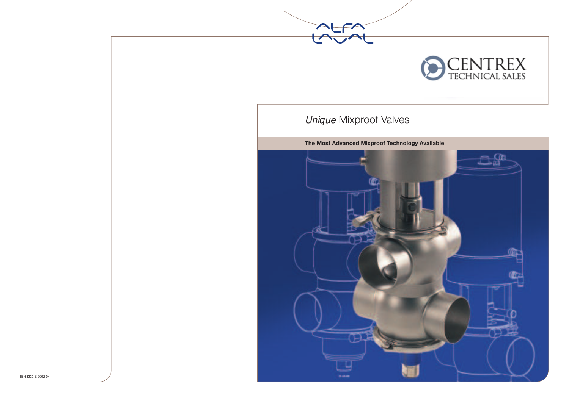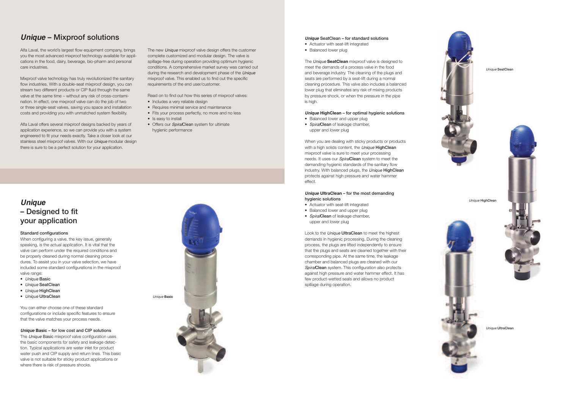# **Unique** – Mixproof solutions

Alfa Laval, the world's largest flow equipment company, brings you the most advanced mixproof technology available for applications in the food, dairy, beverage, bio-pharm and personal care industries.

Mixproof valve technology has truly revolutionized the sanitary flow industries. With a double-seat mixproof design, you can stream two different products or CIP fluid through the same valve at the same time – without any risk of cross-contamination. In effect, one mixproof valve can do the job of two or three single-seat valves, saving you space and installation costs and providing you with unmatched system flexibility.

Alfa Laval offers several mixproof designs backed by years of application experience, so we can provide you with a system engineered to fit your needs exactly. Take a closer look at our stainless steel mixproof valves. With our *Unique* modular design there is sure to be a perfect solution for your application.

The new Unique mixproof valve design offers the customer complete customized and modular design. The valve is spillage-free during operation providing optimum hygienic conditions. A comprehensive market survey was carried out during the research and development phase of the Unique mixproof valve. This enabled us to find out the specific requirements of the end user/customer.

Read on to find out how this series of mixproof valves:

- Includes a very reliable design
- Requires minimal service and maintenance
- Fits your process perfectly, no more and no less
- Is easy to install
- Offers our SpiralClean system for ultimate hygienic performance



#### **Unique** SeatClean – for standard solutions

- Actuator with seat-lift integrated
- Balanced lower plug

The *Unique* **SeatClean** mixproof valve is designed to meet the demands of a process valve in the food and beverage industry. The cleaning of the plugs and seats are performed by a seat-lift during a normal cleaning procedure. This valve also includes a balanced lower plug that eliminates any risk of mixing products by pressure shock, or when the pressure in the pipe is high.

### **Unique HighClean** – for optimal hygienic solutions

- Balanced lower and upper plug
- SpiralClean of leakage chamber, upper and lower plug

## **Unique** – Designed to fit your application

#### Standard configurations

When configuring a valve, the key issue, generally speaking, is the actual application. It is vital that the valve can perform under the required conditions and be properly cleaned during normal cleaning procedures. To assist you in your valve selection, we have included some standard configurations in the mixproof valve range:

- Unique Basic
- Unique SeatClean
- Unique HighClean
- Unique UltraClean

You can either choose one of these standard configurations or include specific features to ensure that the valve matches your process needs.

### **Unique Basic - for low cost and CIP solutions**

The Unique Basic mixproof valve configuration uses the basic components for safety and leakage detection. Typical applications are water inlet for product water push and CIP supply and return lines. This basic valve is not suitable for sticky product applications or where there is risk of pressure shocks.

When you are dealing with sticky products or products with a high solids content, the Unique HighClean mixproof valve is sure to meet your processing needs. It uses our *Spiral*Clean system to meet the demanding hygienic standards of the sanitary flow industry. With balanced plugs, the Unique HighClean protects against high pressure and water hammer effect.

### **Unique UltraClean** – for the most demanding hygienic solutions

- Actuator with seat-lift integrated
- Balanced lower and upper plug
- SpiralClean of leakage chamber, upper and lower plug

Look to the Unique UltraClean to meet the highest demands in hygienic processing. During the cleaning process, the plugs are lifted independently to ensure that the plugs and seats are cleaned together with their corresponding pipe. At the same time, the leakage chamber and balanced plugs are cleaned with our SpiralClean system. This configuration also protects against high pressure and water hammer effect. It has few product-wetted seals and allows no product spillage during operation.



Unique SeatClear







Unique UltraClean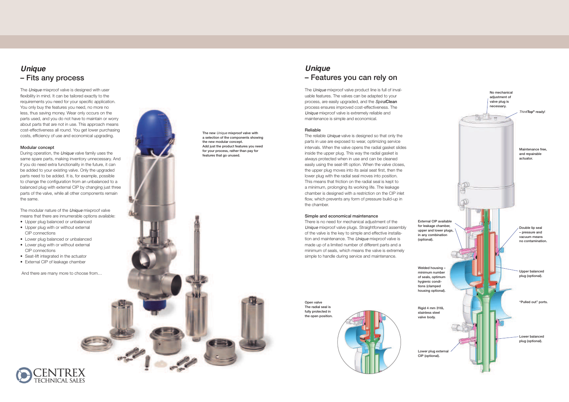# **Unique** – Fitsanyprocess

The Unique mixproof valve is designed with user flexibility in mind. It can be tailored exactly to the requirements you need for your specific application. You only buy the features you need, no more no less, thus saving money. Wear only occurs on the parts used, and you do not have to maintain or worry about parts that are not in use. This approach means cost-effectiveness all round. You get lower purchasing costs, efficiency of use and economical upgrading.

#### Modular concept

During operation, the Unique valve family uses the same spare parts, making inventory unnecessary. And if you do need extra functionality in the future, it can be added to your existing valve. Only the upgraded parts need to be added. It is, for example, possible to change the configuration from an unbalanced to a balanced plug with external CIP by changing just three parts of the valve, while all other components remain the same.

The modular nature of the *Unique* mixproof valve means that there are innumerable options available:

- Upper plug balanced or unbalanced
- Upper plug with or without external CIP connections
- Lower plug balanced or unbalanced
- Lower plug with or without external CIP connections
- Seat-lift integrated in the actuator
- External CIP of leakage chamber

And there are many more to choose from...



The new Unique mixproof valve with a selection of the components showing the new modular concept. Add just the product features you need for your process, rather than pay for features that go unused.

# **Unique** – Features you can rely on

The Unique mixproof valve product line is full of invaluable features. The valves can be adapted to your process, are easily upgraded, and the SpiralClean process ensures improved cost-effectiveness. The Unique mixproof valve is extremely reliable and maintenance is simple and economical.

### Reliable

Open valve The radial seal is fully protected in the open position.

The reliable Unique valve is designed so that only the parts in use are exposed to wear, optimizing service intervals. When the valve opens the radial gasket slides inside the upper plug. This way the radial gasket is always protected when in use and can be cleaned easily using the seat-lift option. When the valve closes, the upper plug moves into its axial seat first, then the lower plug with the radial seal moves into position. This means that friction on the radial seal is kept to a minimum, prolonging its working life. The leakage chamber is designed with a restriction on the CIP inlet flow, which prevents any form of pressure build-up in the chamber.

#### Simple and economical maintenance

There is no need for mechanical adjustment of the Unique mixproof valve plugs. Straightforward assembly of the valve is the key to simple and effective installation and maintenance. The *Unique* mixproof valve is made up of a limited number of different parts and a minimum of seals, which means the valve is extremely simple to handle during service and maintenance.



CIP(optional).



(optional).

hygienic conditions (clamped

stainless steel valve body.